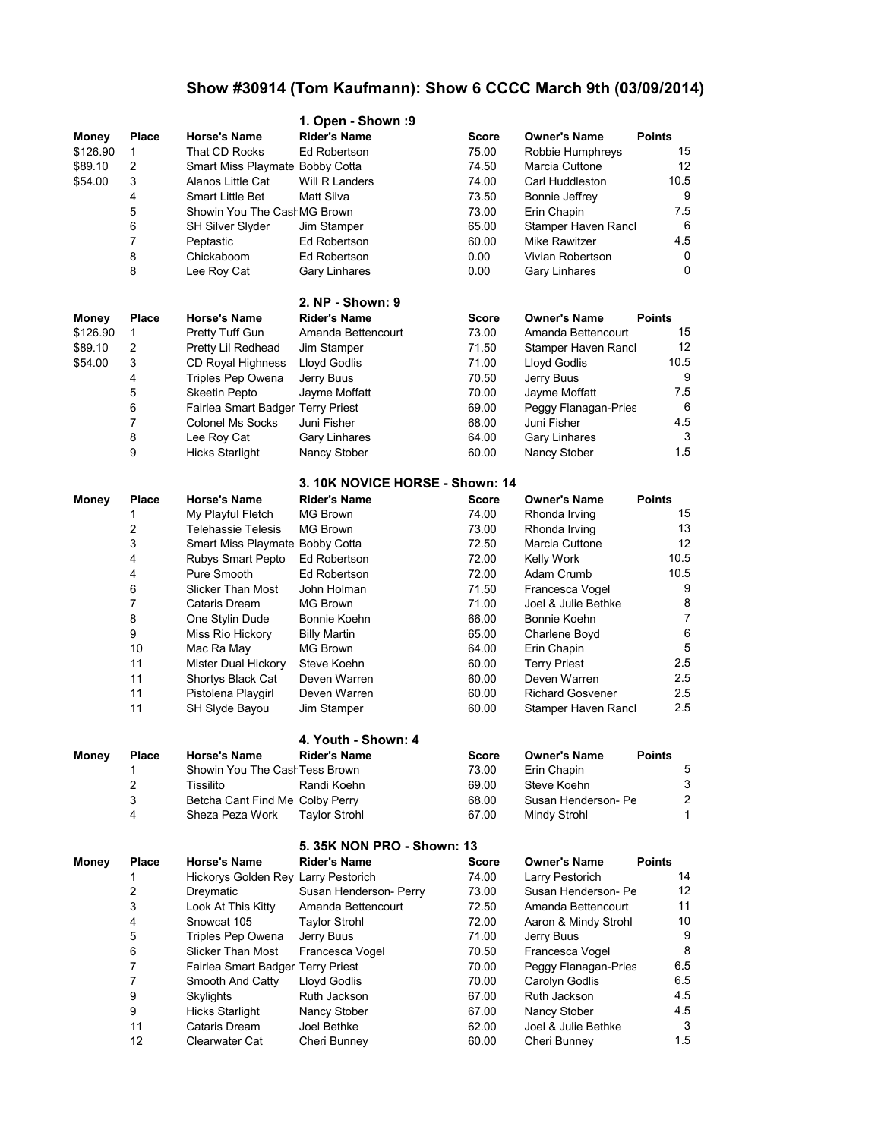## **Show #30914 (Tom Kaufmann): Show 6 CCCC March 9th (03/09/2014)**

|              |              |                                     | 1. Open - Shown : 9                               |                |                                        |                  |
|--------------|--------------|-------------------------------------|---------------------------------------------------|----------------|----------------------------------------|------------------|
| Money        | <b>Place</b> | <b>Horse's Name</b>                 | <b>Rider's Name</b>                               | Score          | <b>Owner's Name</b>                    | <b>Points</b>    |
| \$126.90     | 1            | That CD Rocks                       | Ed Robertson                                      | 75.00          | Robbie Humphreys                       | 15               |
| \$89.10      | 2            | Smart Miss Playmate Bobby Cotta     |                                                   | 74.50          | Marcia Cuttone                         | 12               |
| \$54.00      | 3            | Alanos Little Cat                   | Will R Landers                                    | 74.00          | Carl Huddleston                        | 10.5             |
|              | 4            | <b>Smart Little Bet</b>             | Matt Silva                                        | 73.50          | Bonnie Jeffrey                         | 9                |
|              | 5            | Showin You The Cash MG Brown        |                                                   | 73.00          | Erin Chapin                            | 75               |
|              | 6            | SH Silver Slyder                    | Jim Stamper                                       | 65.00          | Stamper Haven Rancl                    | 6                |
|              | 7            | Peptastic                           | Ed Robertson                                      | 60.00          | Mike Rawitzer                          | 4.5              |
|              | 8            | Chickaboom                          | Ed Robertson                                      | 0.00           | Vivian Robertson                       | 0                |
|              | 8            | Lee Roy Cat                         | Gary Linhares                                     | 0.00           | <b>Gary Linhares</b>                   | 0                |
|              |              |                                     | 2. NP - Shown: 9                                  |                |                                        |                  |
| Money        | Place        | <b>Horse's Name</b>                 | <b>Rider's Name</b>                               | Score          | <b>Owner's Name</b>                    | <b>Points</b>    |
| \$126.90     | 1            | Pretty Tuff Gun                     | Amanda Bettencourt                                | 73.00          | Amanda Bettencourt                     | 15               |
| \$89.10      | 2            | Pretty Lil Redhead                  | Jim Stamper                                       | 71.50          | Stamper Haven Rancl                    | 12               |
| \$54.00      | 3            | CD Royal Highness                   | Lloyd Godlis                                      | 71.00          | Lloyd Godlis                           | 10.5             |
|              | 4            | Triples Pep Owena                   | Jerry Buus                                        | 70.50          | Jerry Buus                             | 9                |
|              | 5            | <b>Skeetin Pepto</b>                | Jayme Moffatt                                     | 70.00          | Jayme Moffatt                          | 7.5              |
|              | 6            | Fairlea Smart Badger Terry Priest   |                                                   | 69.00          | Peggy Flanagan-Pries                   | 6                |
|              | 7            | Colonel Ms Socks                    | Juni Fisher                                       | 68.00          | Juni Fisher                            | 4.5              |
|              | 8            | Lee Roy Cat                         | Gary Linhares                                     | 64.00          | Gary Linhares                          | 3                |
|              | 9            | <b>Hicks Starlight</b>              | Nancy Stober                                      | 60.00          | Nancy Stober                           | 1.5              |
|              |              |                                     | 3. 10K NOVICE HORSE - Shown: 14                   |                |                                        |                  |
| <b>Money</b> | <b>Place</b> | <b>Horse's Name</b>                 | <b>Rider's Name</b>                               | Score          | <b>Owner's Name</b>                    | <b>Points</b>    |
|              | 1            | My Playful Fletch                   | <b>MG Brown</b>                                   | 74.00          | Rhonda Irving                          | 15               |
|              | 2            | <b>Telehassie Telesis</b>           | <b>MG Brown</b>                                   | 73.00          | Rhonda Irving                          | 13               |
|              | 3            | Smart Miss Playmate Bobby Cotta     |                                                   | 72.50          | Marcia Cuttone                         | 12               |
|              | 4            | Rubys Smart Pepto                   | Ed Robertson                                      | 72.00          | <b>Kelly Work</b>                      | 10.5             |
|              | 4            | Pure Smooth                         | Ed Robertson                                      | 72.00          | Adam Crumb                             | 10.5             |
|              | 6            | <b>Slicker Than Most</b>            | John Holman                                       | 71.50          | Francesca Vogel                        | 9                |
|              | 7            | Cataris Dream                       | <b>MG Brown</b>                                   | 71.00          | Joel & Julie Bethke                    | 8                |
|              | 8            | One Stylin Dude                     | Bonnie Koehn                                      | 66.00          | Bonnie Koehn                           | $\overline{7}$   |
|              | 9            | Miss Rio Hickory                    | <b>Billy Martin</b>                               | 65.00          | Charlene Boyd                          | 6                |
|              | 10           | Mac Ra May                          | MG Brown                                          | 64.00          | Erin Chapin                            | 5                |
|              | 11           | Mister Dual Hickory                 | Steve Koehn                                       | 60.00          | <b>Terry Priest</b>                    | 2.5              |
|              | 11           | Shortys Black Cat                   | Deven Warren                                      | 60.00          | Deven Warren                           | 2.5              |
|              | 11           | Pistolena Playgirl                  | Deven Warren                                      | 60.00          | <b>Richard Gosvener</b>                | 2.5              |
|              | 11           | SH Slyde Bayou                      | Jim Stamper                                       | 60.00          | Stamper Haven Rancl                    | 2.5              |
|              |              |                                     | 4. Youth - Shown: 4                               |                |                                        |                  |
| Money        | Place        | <b>Horse's Name</b>                 | Rider's Name                                      | <b>Score</b>   | Owner's Name                           | Points           |
|              | 1            | Showin You The CashTess Brown       |                                                   | 73.00          | Erin Chapin                            | 5                |
|              | 2            | Tissilito                           | Randi Koehn                                       | 69.00          | Steve Koehn                            | 3                |
|              | 3            | Betcha Cant Find Me Colby Perry     |                                                   | 68.00          | Susan Henderson- Pe                    | $\boldsymbol{2}$ |
|              | 4            | Sheza Peza Work                     | <b>Taylor Strohl</b>                              | 67.00          | Mindy Strohl                           | 1                |
|              |              |                                     |                                                   |                |                                        |                  |
| <b>Money</b> | <b>Place</b> | <b>Horse's Name</b>                 | 5. 35K NON PRO - Shown: 13<br><b>Rider's Name</b> | <b>Score</b>   | <b>Owner's Name</b>                    | <b>Points</b>    |
|              | 1            | Hickorys Golden Rey Larry Pestorich |                                                   | 74.00          | Larry Pestorich                        | 14               |
|              | 2            | Dreymatic                           | Susan Henderson- Perry                            | 73.00          | Susan Henderson- Pe                    | 12               |
|              | 3            | Look At This Kitty                  |                                                   |                | Amanda Bettencourt                     | 11               |
|              | 4            | Snowcat 105                         | Amanda Bettencourt<br><b>Taylor Strohl</b>        | 72.50<br>72.00 | Aaron & Mindy Strohl                   | 10               |
|              | 5            | Triples Pep Owena                   | Jerry Buus                                        | 71.00          | Jerry Buus                             | 9                |
|              | 6            | Slicker Than Most                   | Francesca Vogel                                   | 70.50          | Francesca Vogel                        | 8                |
|              | 7            | Fairlea Smart Badger Terry Priest   |                                                   |                |                                        | 6.5              |
|              | 7            | Smooth And Catty                    | Lloyd Godlis                                      | 70.00<br>70.00 | Peggy Flanagan-Pries<br>Carolyn Godlis | 6.5              |
|              | 9            | Skylights                           | Ruth Jackson                                      | 67.00          | Ruth Jackson                           | 45               |
|              | 9            | <b>Hicks Starlight</b>              | Nancy Stober                                      | 67.00          | Nancy Stober                           | 4.5              |
|              | 11           | Cataris Dream                       | Joel Bethke                                       | 62.00          | Joel & Julie Bethke                    | 3                |
|              | 12           | Clearwater Cat                      | Cheri Bunney                                      | 60.00          | Cheri Bunney                           | 1.5              |
|              |              |                                     |                                                   |                |                                        |                  |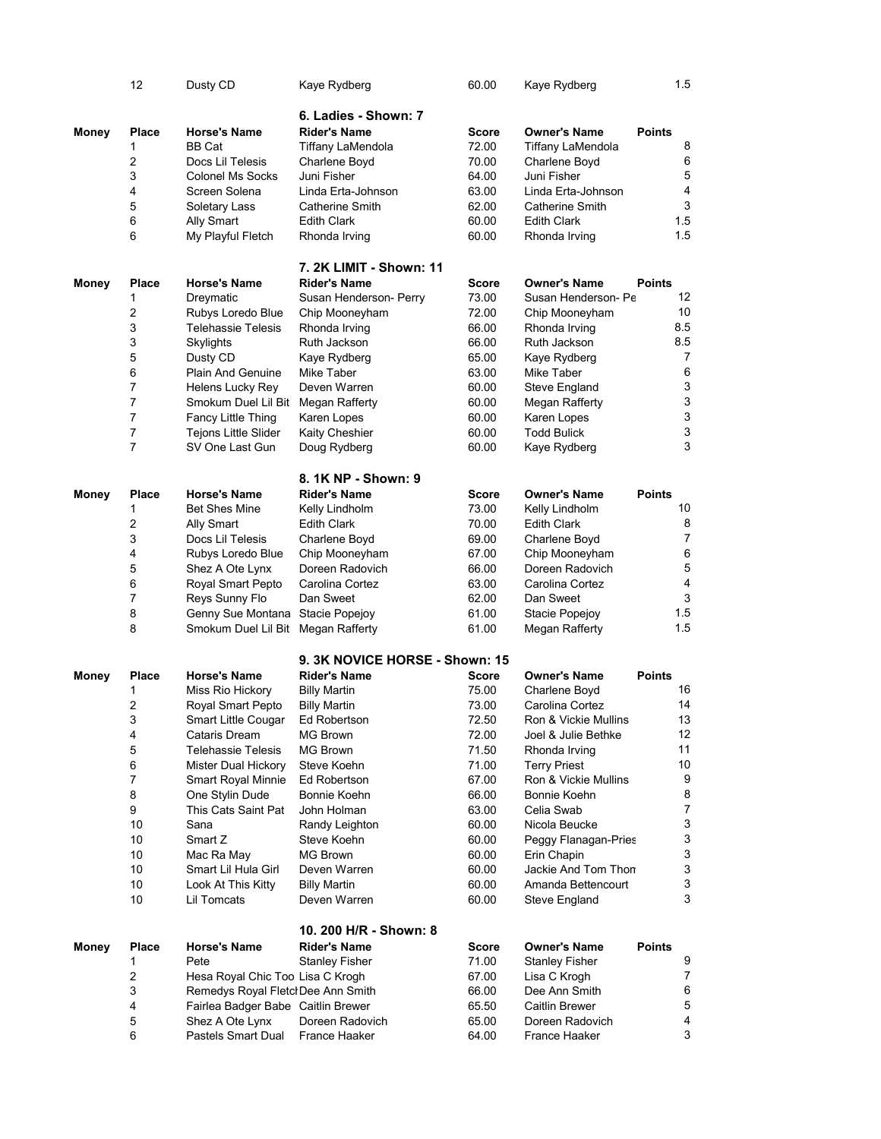|              | 12             | Dusty CD                           | Kaye Rydberg                   | 60.00          | Kaye Rydberg                        |               | 1.5                                                    |
|--------------|----------------|------------------------------------|--------------------------------|----------------|-------------------------------------|---------------|--------------------------------------------------------|
|              |                |                                    |                                |                |                                     |               |                                                        |
|              |                |                                    | 6. Ladies - Shown: 7           |                |                                     |               |                                                        |
| Money        | <b>Place</b>   | <b>Horse's Name</b>                | <b>Rider's Name</b>            | Score          | <b>Owner's Name</b>                 | <b>Points</b> |                                                        |
|              | 1              | BB Cat                             | Tiffany LaMendola              | 72.00          | Tiffany LaMendola                   |               | 8                                                      |
|              | 2              | Docs Lil Telesis                   | Charlene Boyd                  | 70.00          | Charlene Boyd                       |               | 6                                                      |
|              | 3              | <b>Colonel Ms Socks</b>            | Juni Fisher                    | 64.00          | Juni Fisher                         |               | $\mathbf 5$<br>$\overline{4}$                          |
|              | 4              | Screen Solena                      | Linda Erta-Johnson             | 63.00          | Linda Erta-Johnson                  |               | 3                                                      |
|              | 5              | Soletary Lass                      | <b>Catherine Smith</b>         | 62.00          | Catherine Smith                     |               |                                                        |
|              | 6<br>6         | Ally Smart                         | <b>Edith Clark</b>             | 60.00<br>60.00 | <b>Edith Clark</b>                  |               | 1.5<br>1.5                                             |
|              |                | My Playful Fletch                  | Rhonda Irving                  |                | Rhonda Irving                       |               |                                                        |
|              |                |                                    | <b>7. 2K LIMIT - Shown: 11</b> |                |                                     |               |                                                        |
| Money        | <b>Place</b>   | <b>Horse's Name</b>                | <b>Rider's Name</b>            | <b>Score</b>   | <b>Owner's Name</b>                 | <b>Points</b> |                                                        |
|              | 1              | Dreymatic                          | Susan Henderson- Perry         | 73.00          | Susan Henderson- Pe                 |               | 12                                                     |
|              | 2              | Rubys Loredo Blue                  | Chip Mooneyham                 | 72.00          | Chip Mooneyham                      |               | 10                                                     |
|              | 3              | Telehassie Telesis                 | Rhonda Irving                  | 66.00          | Rhonda Irving                       |               | 8.5                                                    |
|              | 3              | Skylights                          | Ruth Jackson                   | 66.00          | Ruth Jackson                        |               | 8.5                                                    |
|              | 5              | Dusty CD                           | Kaye Rydberg                   | 65.00          | Kaye Rydberg                        |               | 7                                                      |
|              | 6              | <b>Plain And Genuine</b>           | Mike Taber                     | 63.00          | Mike Taber                          |               | 6                                                      |
|              | 7              | Helens Lucky Rey                   | Deven Warren                   | 60.00          | Steve England                       |               | $\ensuremath{\mathsf{3}}$                              |
|              | 7              | Smokum Duel Lil Bit Megan Rafferty |                                | 60.00          | Megan Rafferty                      |               | $\ensuremath{\mathsf{3}}$                              |
|              | 7              | Fancy Little Thing                 | Karen Lopes                    | 60.00          | Karen Lopes                         |               | $\ensuremath{\mathsf{3}}$<br>$\ensuremath{\mathsf{3}}$ |
|              | 7<br>7         | Tejons Little Slider               | Kaity Cheshier                 | 60.00          | <b>Todd Bulick</b>                  |               | 3                                                      |
|              |                | SV One Last Gun                    | Doug Rydberg                   | 60.00          | Kaye Rydberg                        |               |                                                        |
|              |                |                                    | 8. 1K NP - Shown: 9            |                |                                     |               |                                                        |
| Money        | <b>Place</b>   | <b>Horse's Name</b>                | <b>Rider's Name</b>            | Score          | <b>Owner's Name</b>                 | <b>Points</b> |                                                        |
|              | 1              | <b>Bet Shes Mine</b>               | Kelly Lindholm                 | 73.00          | Kelly Lindholm                      |               | 10                                                     |
|              | 2              | Ally Smart                         | <b>Edith Clark</b>             | 70.00          | <b>Edith Clark</b>                  |               | 8                                                      |
|              | 3              | Docs Lil Telesis                   | Charlene Boyd                  | 69.00          | Charlene Boyd                       |               | $\overline{7}$                                         |
|              | 4              | Rubys Loredo Blue                  | Chip Mooneyham                 | 67.00          | Chip Mooneyham                      |               | 6                                                      |
|              | 5              | Shez A Ote Lynx                    | Doreen Radovich                | 66.00          | Doreen Radovich                     |               | $\mathbf 5$                                            |
|              | 6              | Royal Smart Pepto                  | Carolina Cortez                | 63.00          | Carolina Cortez                     |               | $\overline{\mathbf{4}}$                                |
|              | 7              | Reys Sunny Flo                     | Dan Sweet                      | 62.00          | Dan Sweet                           |               | 3                                                      |
|              | 8              | Genny Sue Montana Stacie Popejoy   |                                | 61.00          | Stacie Popejoy                      |               | 1.5                                                    |
|              | 8              | Smokum Duel Lil Bit Megan Rafferty |                                | 61.00          | <b>Megan Rafferty</b>               |               | 1.5                                                    |
|              |                |                                    | 9. 3K NOVICE HORSE - Shown: 15 |                |                                     |               |                                                        |
| Money        | <b>Place</b>   | <b>Horse's Name</b>                | <b>Rider's Name</b>            | Score          | <b>Owner's Name</b>                 | <b>Points</b> |                                                        |
|              | 1              | Miss Rio Hickory                   | <b>Billy Martin</b>            | 75.00          | Charlene Boyd                       |               | 16                                                     |
|              | $\overline{c}$ | Royal Smart Pepto                  | <b>Billy Martin</b>            | 73.00          | Carolina Cortez                     |               | 14                                                     |
|              | 3              | Smart Little Cougar                | Ed Robertson                   | 72.50          | Ron & Vickie Mullins                |               | 13                                                     |
|              | 4              | Cataris Dream                      | MG Brown                       | 72.00          | Joel & Julie Bethke                 |               | 12                                                     |
|              | 5              | <b>Telehassie Telesis</b>          | <b>MG Brown</b>                | 71.50          | Rhonda Irving                       |               | 11                                                     |
|              | 6              | Mister Dual Hickory                | Steve Koehn                    | 71.00          | <b>Terry Priest</b>                 |               | 10                                                     |
|              | 7              | <b>Smart Royal Minnie</b>          | Ed Robertson                   | 67.00          | Ron & Vickie Mullins                |               | 9                                                      |
|              | 8              | One Stylin Dude                    | Bonnie Koehn                   | 66.00          | Bonnie Koehn                        |               | 8                                                      |
|              | 9              | This Cats Saint Pat                | John Holman                    | 63.00          | Celia Swab                          |               | $\overline{7}$<br>$\ensuremath{\mathsf{3}}$            |
|              | 10             | Sana                               | Randy Leighton                 | 60.00          | Nicola Beucke                       |               | $\ensuremath{\mathsf{3}}$                              |
|              | 10<br>$10$     | Smart Z<br>Mac Ra May              | Steve Koehn<br><b>MG Brown</b> | 60.00          | Peggy Flanagan-Pries<br>Erin Chapin |               | $\ensuremath{\mathsf{3}}$                              |
|              | 10             | Smart Lil Hula Girl                | Deven Warren                   | 60.00<br>60.00 | Jackie And Tom Thon                 |               | $\ensuremath{\mathsf{3}}$                              |
|              | 10             | Look At This Kitty                 | <b>Billy Martin</b>            | 60.00          | Amanda Bettencourt                  |               | $\ensuremath{\mathsf{3}}$                              |
|              | 10             | Lil Tomcats                        | Deven Warren                   | 60.00          | Steve England                       |               | 3                                                      |
|              |                |                                    |                                |                |                                     |               |                                                        |
|              |                |                                    | 10. 200 H/R - Shown: 8         |                |                                     |               |                                                        |
| <b>Money</b> | <b>Place</b>   | <b>Horse's Name</b>                | <b>Rider's Name</b>            | Score          | <b>Owner's Name</b>                 | <b>Points</b> |                                                        |
|              | 1              | Pete                               | <b>Stanley Fisher</b>          | 71.00          | <b>Stanley Fisher</b>               |               | 9                                                      |
|              | 2              | Hesa Royal Chic Too Lisa C Krogh   |                                | 67.00          | Lisa C Krogh                        |               | 7                                                      |
|              | 3              | Remedys Royal FletclDee Ann Smith  |                                | 66.00          | Dee Ann Smith                       |               | 6                                                      |
|              | 4              | Fairlea Badger Babe Caitlin Brewer |                                | 65.50          | Caitlin Brewer                      |               | $\overline{5}$                                         |
|              | 5              | Shez A Ote Lynx                    | Doreen Radovich                | 65.00          | Doreen Radovich                     |               | 4                                                      |
|              | 6              | Pastels Smart Dual                 | France Haaker                  | 64.00          | France Haaker                       |               | 3                                                      |